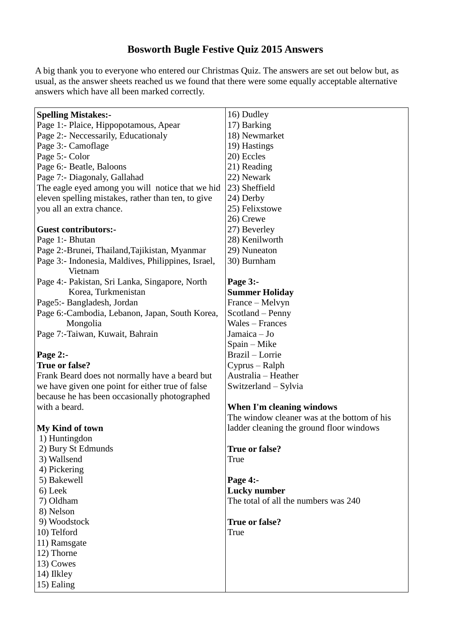## **Bosworth Bugle Festive Quiz 2015 Answers**

A big thank you to everyone who entered our Christmas Quiz. The answers are set out below but, as usual, as the answer sheets reached us we found that there were some equally acceptable alternative answers which have all been marked correctly.

| <b>Spelling Mistakes:-</b>                         | 16) Dudley                                  |
|----------------------------------------------------|---------------------------------------------|
| Page 1:- Plaice, Hippopotamous, Apear              | 17) Barking                                 |
| Page 2:- Neccessarily, Educationaly                | 18) Newmarket                               |
| Page 3:- Camoflage                                 | 19) Hastings                                |
| Page 5:- Color                                     | 20) Eccles                                  |
| Page 6:- Beatle, Baloons                           | 21) Reading                                 |
| Page 7:- Diagonaly, Gallahad                       | 22) Newark                                  |
| The eagle eyed among you will notice that we hid   | 23) Sheffield                               |
| eleven spelling mistakes, rather than ten, to give | 24) Derby                                   |
| you all an extra chance.                           | 25) Felixstowe                              |
|                                                    | 26) Crewe                                   |
| <b>Guest contributors:-</b>                        | 27) Beverley                                |
| Page 1:- Bhutan                                    | 28) Kenilworth                              |
| Page 2:-Brunei, Thailand, Tajikistan, Myanmar      | 29) Nuneaton                                |
| Page 3:- Indonesia, Maldives, Philippines, Israel, | 30) Burnham                                 |
| Vietnam                                            |                                             |
| Page 4:- Pakistan, Sri Lanka, Singapore, North     | Page 3:-                                    |
| Korea, Turkmenistan                                | <b>Summer Holiday</b>                       |
| Page5:- Bangladesh, Jordan                         | France – Melvyn                             |
| Page 6:-Cambodia, Lebanon, Japan, South Korea,     | Scotland – Penny                            |
| Mongolia                                           | <b>Wales - Frances</b>                      |
| Page 7:-Taiwan, Kuwait, Bahrain                    | Jamaica - Jo                                |
|                                                    | Spain - Mike                                |
| Page 2:-                                           | Brazil - Lorrie                             |
| True or false?                                     | Cyprus – Ralph                              |
| Frank Beard does not normally have a beard but     | Australia – Heather                         |
| we have given one point for either true of false   | Switzerland – Sylvia                        |
| because he has been occasionally photographed      |                                             |
| with a beard.                                      | <b>When I'm cleaning windows</b>            |
|                                                    | The window cleaner was at the bottom of his |
| <b>My Kind of town</b>                             | ladder cleaning the ground floor windows    |
| 1) Huntingdon                                      |                                             |
| 2) Bury St Edmunds                                 | True or false?                              |
| 3) Wallsend                                        | True                                        |
| 4) Pickering                                       |                                             |
| 5) Bakewell                                        | Page 4:-                                    |
| 6) Leek                                            | <b>Lucky</b> number                         |
| 7) Oldham                                          | The total of all the numbers was 240        |
| 8) Nelson                                          |                                             |
| 9) Woodstock                                       | True or false?                              |
| 10) Telford                                        | True                                        |
|                                                    |                                             |
| 11) Ramsgate                                       |                                             |
| 12) Thorne                                         |                                             |
| 13) Cowes                                          |                                             |
| 14) Ilkley                                         |                                             |
| 15) Ealing                                         |                                             |